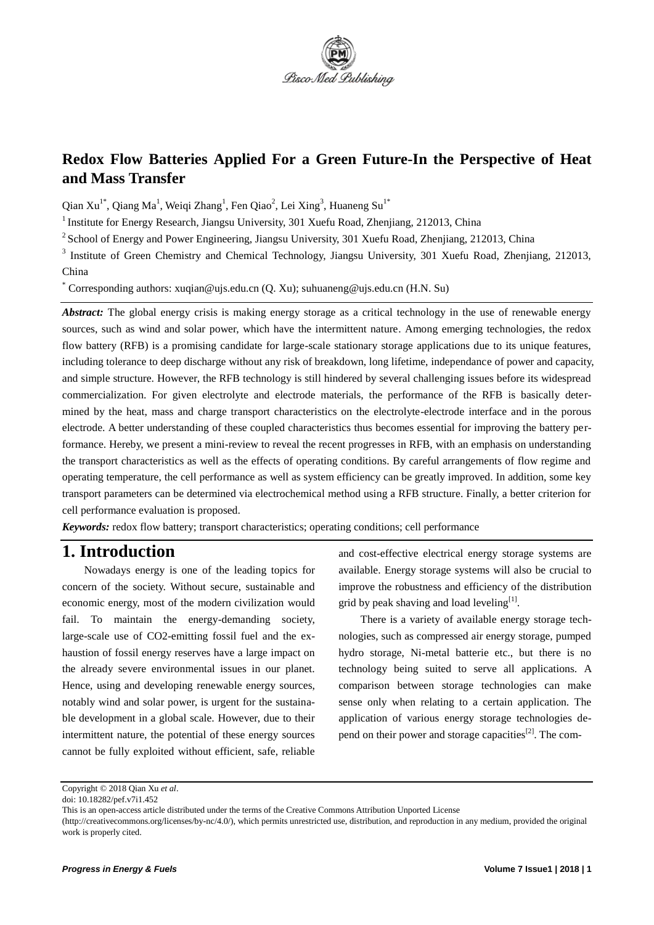

# **Redox Flow Batteries Applied For a Green Future-In the Perspective of Heat and Mass Transfer**

Qian Xu<sup>1\*</sup>, Qiang Ma<sup>1</sup>, Weiqi Zhang<sup>1</sup>, Fen Qiao<sup>2</sup>, Lei Xing<sup>3</sup>, Huaneng Su<sup>1\*</sup>

<sup>1</sup> Institute for Energy Research, Jiangsu University, 301 Xuefu Road, Zhenjiang, 212013, China

<sup>2</sup> School of Energy and Power Engineering, Jiangsu University, 301 Xuefu Road, Zhenjiang, 212013, China

<sup>3</sup> Institute of Green Chemistry and Chemical Technology, Jiangsu University, 301 Xuefu Road, Zhenjiang, 212013, China

Corresponding authors: xuqian@ujs.edu.cn (Q. Xu); suhuaneng@ujs.edu.cn (H.N. Su)

Abstract: The global energy crisis is making energy storage as a critical technology in the use of renewable energy sources, such as wind and solar power, which have the intermittent nature. Among emerging technologies, the redox flow battery (RFB) is a promising candidate for large-scale stationary storage applications due to its unique features, including tolerance to deep discharge without any risk of breakdown, long lifetime, independance of power and capacity, and simple structure. However, the RFB technology is still hindered by several challenging issues before its widespread commercialization. For given electrolyte and electrode materials, the performance of the RFB is basically determined by the heat, mass and charge transport characteristics on the electrolyte-electrode interface and in the porous electrode. A better understanding of these coupled characteristics thus becomes essential for improving the battery performance. Hereby, we present a mini-review to reveal the recent progresses in RFB, with an emphasis on understanding the transport characteristics as well as the effects of operating conditions. By careful arrangements of flow regime and operating temperature, the cell performance as well as system efficiency can be greatly improved. In addition, some key transport parameters can be determined via electrochemical method using a RFB structure. Finally, a better criterion for cell performance evaluation is proposed.

*Keywords:* redox flow battery; transport characteristics; operating conditions; cell performance

#### **1. Introduction**

Nowadays energy is one of the leading topics for concern of the society. Without secure, sustainable and economic energy, most of the modern civilization would fail. To maintain the energy-demanding society, large-scale use of CO2-emitting fossil fuel and the exhaustion of fossil energy reserves have a large impact on the already severe environmental issues in our planet. Hence, using and developing renewable energy sources, notably wind and solar power, is urgent for the sustainable development in a global scale. However, due to their intermittent nature, the potential of these energy sources cannot be fully exploited without efficient, safe, reliable and cost-effective electrical energy storage systems are available. Energy storage systems will also be crucial to improve the robustness and efficiency of the distribution grid by peak shaving and load leveling $[1]$ .

There is a variety of available energy storage technologies, such as compressed air energy storage, pumped hydro storage, Ni-metal batterie etc., but there is no technology being suited to serve all applications. A comparison between storage technologies can make sense only when relating to a certain application. The application of various energy storage technologies depend on their power and storage capacities<sup>[2]</sup>. The com-

Copyright © 2018 Qian Xu *et al*.

doi: 10.18282/pef.v7i1.452

This is an open-access article distributed under the terms of the Creative Commons Attribution Unported License

<sup>(</sup>http://creativecommons.org/licenses/by-nc/4.0/), which permits unrestricted use, distribution, and reproduction in any medium, provided the original work is properly cited.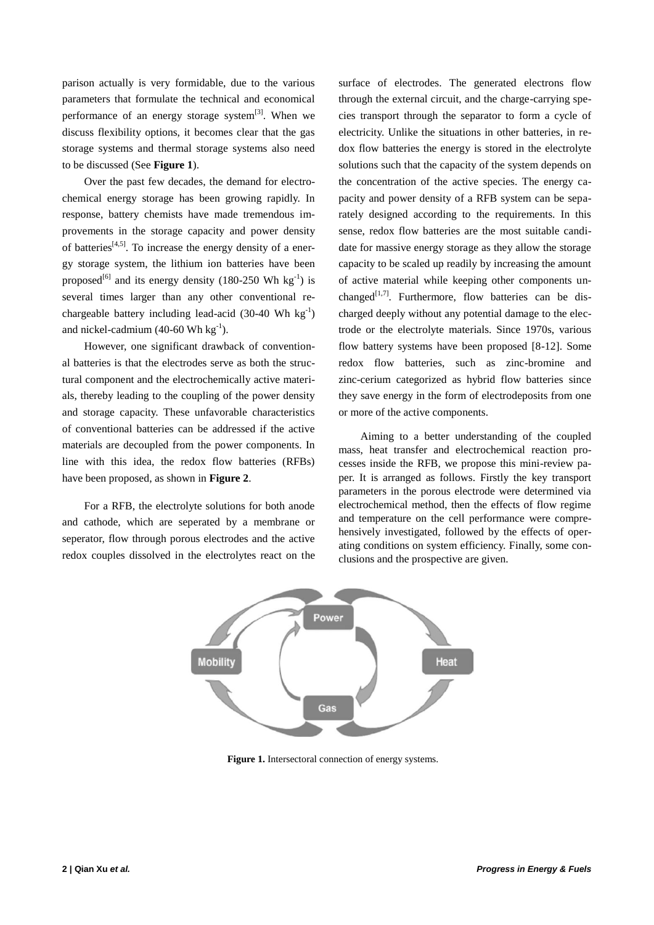parison actually is very formidable, due to the various parameters that formulate the technical and economical performance of an energy storage system $[3]$ . When we discuss flexibility options, it becomes clear that the gas storage systems and thermal storage systems also need to be discussed (See **Figure 1**).

Over the past few decades, the demand for electrochemical energy storage has been growing rapidly. In response, battery chemists have made tremendous improvements in the storage capacity and power density of batteries<sup>[4,5]</sup>. To increase the energy density of a energy storage system, the lithium ion batteries have been proposed<sup>[6]</sup> and its energy density (180-250 Wh  $kg^{-1}$ ) is several times larger than any other conventional rechargeable battery including lead-acid (30-40 Wh  $kg^{-1}$ ) and nickel-cadmium (40-60 Wh  $kg^{-1}$ ).

However, one significant drawback of conventional batteries is that the electrodes serve as both the structural component and the electrochemically active materials, thereby leading to the coupling of the power density and storage capacity. These unfavorable characteristics of conventional batteries can be addressed if the active materials are decoupled from the power components. In line with this idea, the redox flow batteries (RFBs) have been proposed, as shown in **Figure 2**.

For a RFB, the electrolyte solutions for both anode and cathode, which are seperated by a membrane or seperator, flow through porous electrodes and the active redox couples dissolved in the electrolytes react on the surface of electrodes. The generated electrons flow through the external circuit, and the charge-carrying species transport through the separator to form a cycle of electricity. Unlike the situations in other batteries, in redox flow batteries the energy is stored in the electrolyte solutions such that the capacity of the system depends on the concentration of the active species. The energy capacity and power density of a RFB system can be separately designed according to the requirements. In this sense, redox flow batteries are the most suitable candidate for massive energy storage as they allow the storage capacity to be scaled up readily by increasing the amount of active material while keeping other components unchanged<sup>[1,7]</sup>. Furthermore, flow batteries can be discharged deeply without any potential damage to the electrode or the electrolyte materials. Since 1970s, various flow battery systems have been proposed [8-12]. Some redox flow batteries, such as zinc-bromine and zinc-cerium categorized as hybrid flow batteries since they save energy in the form of electrodeposits from one or more of the active components.

Aiming to a better understanding of the coupled mass, heat transfer and electrochemical reaction processes inside the RFB, we propose this mini-review paper. It is arranged as follows. Firstly the key transport parameters in the porous electrode were determined via electrochemical method, then the effects of flow regime and temperature on the cell performance were comprehensively investigated, followed by the effects of operating conditions on system efficiency. Finally, some conclusions and the prospective are given.



**Figure 1.** Intersectoral connection of energy systems.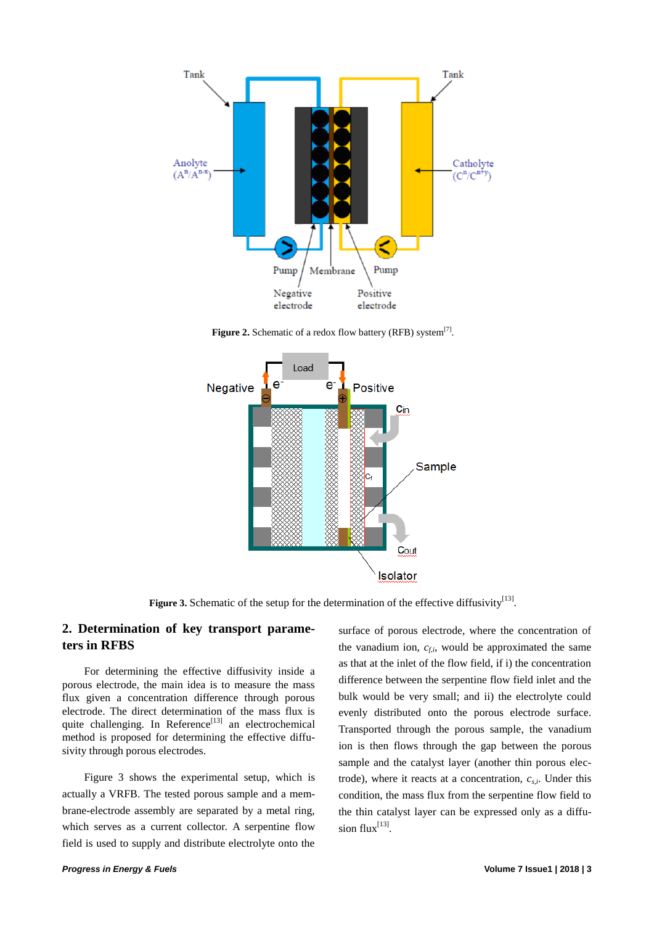

Figure 2. Schematic of a redox flow battery (RFB) system<sup>[7]</sup>.



Figure 3. Schematic of the setup for the determination of the effective diffusivity<sup>[13]</sup>.

#### **2. Determination of key transport parameters in RFBS**

For determining the effective diffusivity inside a porous electrode, the main idea is to measure the mass flux given a concentration difference through porous electrode. The direct determination of the mass flux is quite challenging. In Reference<sup>[13]</sup> an electrochemical method is proposed for determining the effective diffusivity through porous electrodes.

Figure 3 shows the experimental setup, which is actually a VRFB. The tested porous sample and a membrane-electrode assembly are separated by a metal ring, which serves as a current collector. A serpentine flow field is used to supply and distribute electrolyte onto the surface of porous electrode, where the concentration of the vanadium ion,  $c_{fi}$ , would be approximated the same as that at the inlet of the flow field, if i) the concentration difference between the serpentine flow field inlet and the bulk would be very small; and ii) the electrolyte could evenly distributed onto the porous electrode surface. Transported through the porous sample, the vanadium ion is then flows through the gap between the porous sample and the catalyst layer (another thin porous electrode), where it reacts at a concentration, *cs,i*. Under this condition, the mass flux from the serpentine flow field to the thin catalyst layer can be expressed only as a diffusion  $flux^{[13]}$ .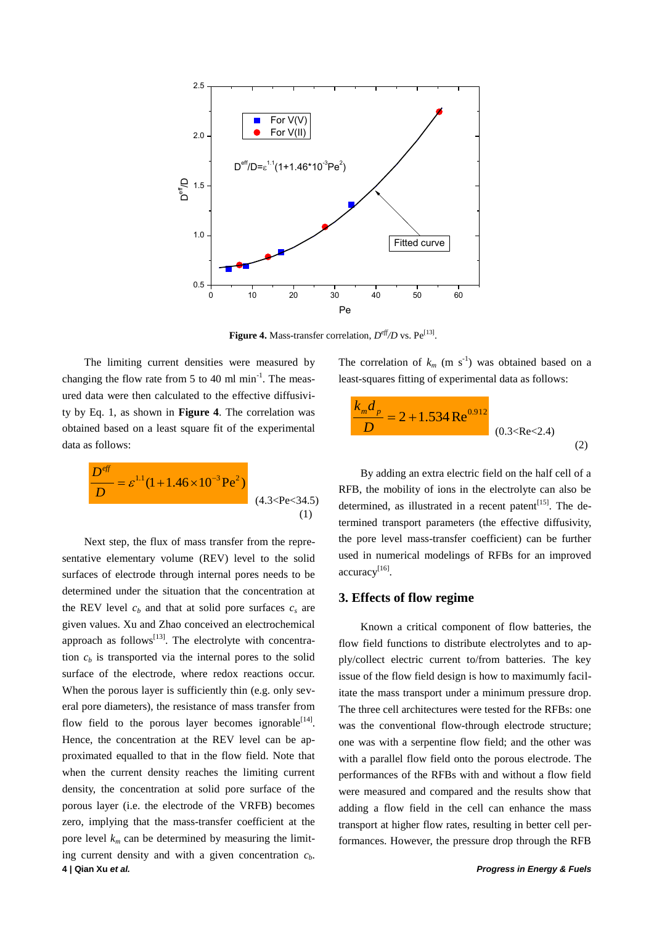

Figure 4. Mass-transfer correlation,  $D^{\text{eff}}/D$  vs.  $Pe^{[13]}$ .

The limiting current densities were measured by changing the flow rate from 5 to 40 ml  $min^{-1}$ . The measured data were then calculated to the effective diffusivity by Eq. 1, as shown in **Figure 4**. The correlation was obtained based on a least square fit of the experimental data as follows:

$$
\frac{D^{eff}}{D} = \varepsilon^{1.1} (1 + 1.46 \times 10^{-3} \,\text{Pe}^2)
$$
\n(4.3 < \text{Pe} < 34.5)

**4 | Qian Xu** *et al. Progress in Energy & Fuels* Next step, the flux of mass transfer from the representative elementary volume (REV) level to the solid surfaces of electrode through internal pores needs to be determined under the situation that the concentration at the REV level  $c<sub>b</sub>$  and that at solid pore surfaces  $c<sub>s</sub>$  are given values. Xu and Zhao conceived an electrochemical approach as follows<sup>[13]</sup>. The electrolyte with concentration  $c<sub>b</sub>$  is transported via the internal pores to the solid surface of the electrode, where redox reactions occur. When the porous layer is sufficiently thin (e.g. only several pore diameters), the resistance of mass transfer from flow field to the porous layer becomes ignorable  $[14]$ . Hence, the concentration at the REV level can be approximated equalled to that in the flow field. Note that when the current density reaches the limiting current density, the concentration at solid pore surface of the porous layer (i.e. the electrode of the VRFB) becomes zero, implying that the mass-transfer coefficient at the pore level  $k_m$  can be determined by measuring the limiting current density and with a given concentration  $c<sub>b</sub>$ .

The correlation of  $k_m$  (m s<sup>-1</sup>) was obtained based on a least-squares fitting of experimental data as follows:

$$
\frac{k_m d_p}{D} = 2 + 1.534 \text{ Re}^{0.912}
$$
\n(0.3 < Re < 2.4)\n(2)

By adding an extra electric field on the half cell of a RFB, the mobility of ions in the electrolyte can also be determined, as illustrated in a recent patent<sup>[15]</sup>. The determined transport parameters (the effective diffusivity, the pore level mass-transfer coefficient) can be further used in numerical modelings of RFBs for an improved accuracy<sup>[16]</sup>.

#### **3. Effects of flow regime**

Known a critical component of flow batteries, the flow field functions to distribute electrolytes and to apply/collect electric current to/from batteries. The key issue of the flow field design is how to maximumly facilitate the mass transport under a minimum pressure drop. The three cell architectures were tested for the RFBs: one was the conventional flow-through electrode structure; one was with a serpentine flow field; and the other was with a parallel flow field onto the porous electrode. The performances of the RFBs with and without a flow field were measured and compared and the results show that adding a flow field in the cell can enhance the mass transport at higher flow rates, resulting in better cell performances. However, the pressure drop through the RFB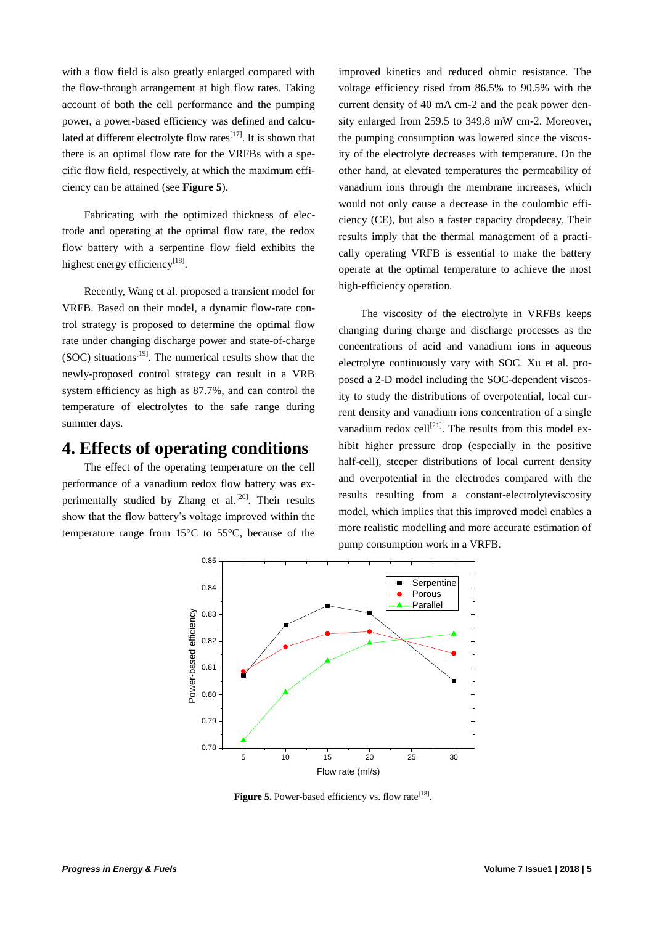with a flow field is also greatly enlarged compared with the flow-through arrangement at high flow rates. Taking account of both the cell performance and the pumping power, a power-based efficiency was defined and calculated at different electrolyte flow rates $^{[17]}$ . It is shown that there is an optimal flow rate for the VRFBs with a specific flow field, respectively, at which the maximum efficiency can be attained (see **Figure 5**).

Fabricating with the optimized thickness of electrode and operating at the optimal flow rate, the redox flow battery with a serpentine flow field exhibits the highest energy efficiency<sup>[18]</sup>.

Recently, Wang et al. proposed a transient model for VRFB. Based on their model, a dynamic flow-rate control strategy is proposed to determine the optimal flow rate under changing discharge power and state-of-charge (SOC) situations<sup>[19]</sup>. The numerical results show that the newly-proposed control strategy can result in a VRB system efficiency as high as 87.7%, and can control the temperature of electrolytes to the safe range during summer days.

### **4. Effects of operating conditions**

The effect of the operating temperature on the cell performance of a vanadium redox flow battery was experimentally studied by Zhang et al.<sup>[20]</sup>. Their results show that the flow battery's voltage improved within the temperature range from  $15 \, \text{°C}$  to  $55 \, \text{°C}$ , because of the

improved kinetics and reduced ohmic resistance. The voltage efficiency rised from 86.5% to 90.5% with the current density of 40 mA cm-2 and the peak power density enlarged from 259.5 to 349.8 mW cm-2. Moreover, the pumping consumption was lowered since the viscosity of the electrolyte decreases with temperature. On the other hand, at elevated temperatures the permeability of vanadium ions through the membrane increases, which would not only cause a decrease in the coulombic efficiency (CE), but also a faster capacity dropdecay. Their results imply that the thermal management of a practically operating VRFB is essential to make the battery operate at the optimal temperature to achieve the most high-efficiency operation.

The viscosity of the electrolyte in VRFBs keeps changing during charge and discharge processes as the concentrations of acid and vanadium ions in aqueous electrolyte continuously vary with SOC. Xu et al. proposed a 2-D model including the SOC-dependent viscosity to study the distributions of overpotential, local current density and vanadium ions concentration of a single vanadium redox cell<sup>[21]</sup>. The results from this model exhibit higher pressure drop (especially in the positive half-cell), steeper distributions of local current density and overpotential in the electrodes compared with the results resulting from a constant-electrolyteviscosity model, which implies that this improved model enables a more realistic modelling and more accurate estimation of pump consumption work in a VRFB.



Figure 5. Power-based efficiency vs. flow rate<sup>[18]</sup>.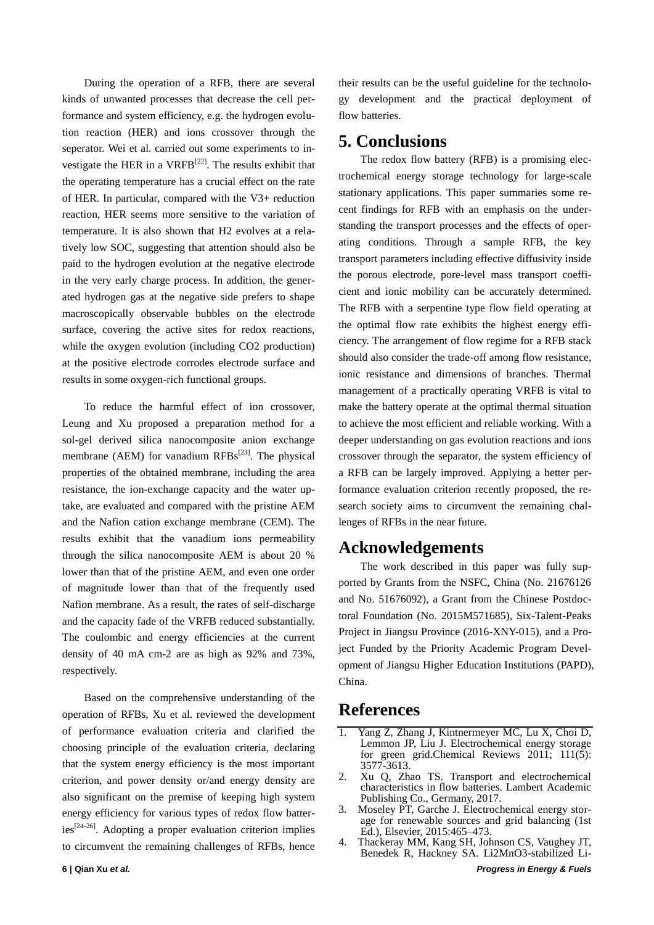During the operation of a RFB, there are several kinds of unwanted processes that decrease the cell performance and system efficiency, e.g. the hydrogen evolution reaction (HER) and ions crossover through the seperator. Wei et al. carried out some experiments to investigate the HER in a  $VRFB^{[22]}$ . The results exhibit that the operating temperature has a crucial effect on the rate of HER. In particular, compared with the V3+ reduction reaction, HER seems more sensitive to the variation of temperature. It is also shown that H2 evolves at a relatively low SOC, suggesting that attention should also be paid to the hydrogen evolution at the negative electrode in the very early charge process. In addition, the generated hydrogen gas at the negative side prefers to shape macroscopically observable bubbles on the electrode surface, covering the active sites for redox reactions, while the oxygen evolution (including CO2 production) at the positive electrode corrodes electrode surface and results in some oxygen-rich functional groups.

To reduce the harmful effect of ion crossover, Leung and Xu proposed a preparation method for a sol-gel derived silica nanocomposite anion exchange membrane (AEM) for vanadium  $RFBs^{[23]}$ . The physical properties of the obtained membrane, including the area resistance, the ion-exchange capacity and the water uptake, are evaluated and compared with the pristine AEM and the Nafion cation exchange membrane (CEM). The results exhibit that the vanadium ions permeability through the silica nanocomposite AEM is about 20 % lower than that of the pristine AEM, and even one order of magnitude lower than that of the frequently used Nafion membrane. As a result, the rates of self-discharge and the capacity fade of the VRFB reduced substantially. The coulombic and energy efficiencies at the current density of 40 mA cm-2 are as high as 92% and 73%, respectively.

Based on the comprehensive understanding of the operation of RFBs, Xu et al. reviewed the development of performance evaluation criteria and clarified the choosing principle of the evaluation criteria, declaring that the system energy efficiency is the most important criterion, and power density or/and energy density are also significant on the premise of keeping high system energy efficiency for various types of redox flow batter $ies^{[24-26]}$ . Adopting a proper evaluation criterion implies to circumvent the remaining challenges of RFBs, hence their results can be the useful guideline for the technology development and the practical deployment of flow batteries.

## **5. Conclusions**

The redox flow battery (RFB) is a promising electrochemical energy storage technology for large-scale stationary applications. This paper summaries some recent findings for RFB with an emphasis on the understanding the transport processes and the effects of operating conditions. Through a sample RFB, the key transport parameters including effective diffusivity inside the porous electrode, pore-level mass transport coefficient and ionic mobility can be accurately determined. The RFB with a serpentine type flow field operating at the optimal flow rate exhibits the highest energy efficiency. The arrangement of flow regime for a RFB stack should also consider the trade-off among flow resistance, ionic resistance and dimensions of branches. Thermal management of a practically operating VRFB is vital to make the battery operate at the optimal thermal situation to achieve the most efficient and reliable working. With a deeper understanding on gas evolution reactions and ions crossover through the separator, the system efficiency of a RFB can be largely improved. Applying a better performance evaluation criterion recently proposed, the research society aims to circumvent the remaining challenges of RFBs in the near future.

### **Acknowledgements**

The work described in this paper was fully supported by Grants from the NSFC, China (No. 21676126 and No. 51676092), a Grant from the Chinese Postdoctoral Foundation (No. 2015M571685), Six-Talent-Peaks Project in Jiangsu Province (2016-XNY-015), and a Project Funded by the Priority Academic Program Development of Jiangsu Higher Education Institutions (PAPD), China.

### **References**

- 1. Yang Z, Zhang J, Kintnermeyer MC, Lu X, Choi D, Lemmon JP, Liu J. Electrochemical energy storage for green grid.Chemical Reviews  $201\overline{1}$ ;  $111(5)$ : 3577-3613.
- 2. Xu Q, Zhao TS. Transport and electrochemical characteristics in flow batteries. Lambert Academic Publishing Co., Germany, 2017.
- 3. Moseley PT, Garche J. Electrochemical energy storage for renewable sources and grid balancing (1st Ed.), Elsevier, 2015:465–473.
- 4. Thackeray MM, Kang SH, Johnson CS, Vaughey JT, Benedek R, Hackney SA. Li2MnO3-stabilized Li-